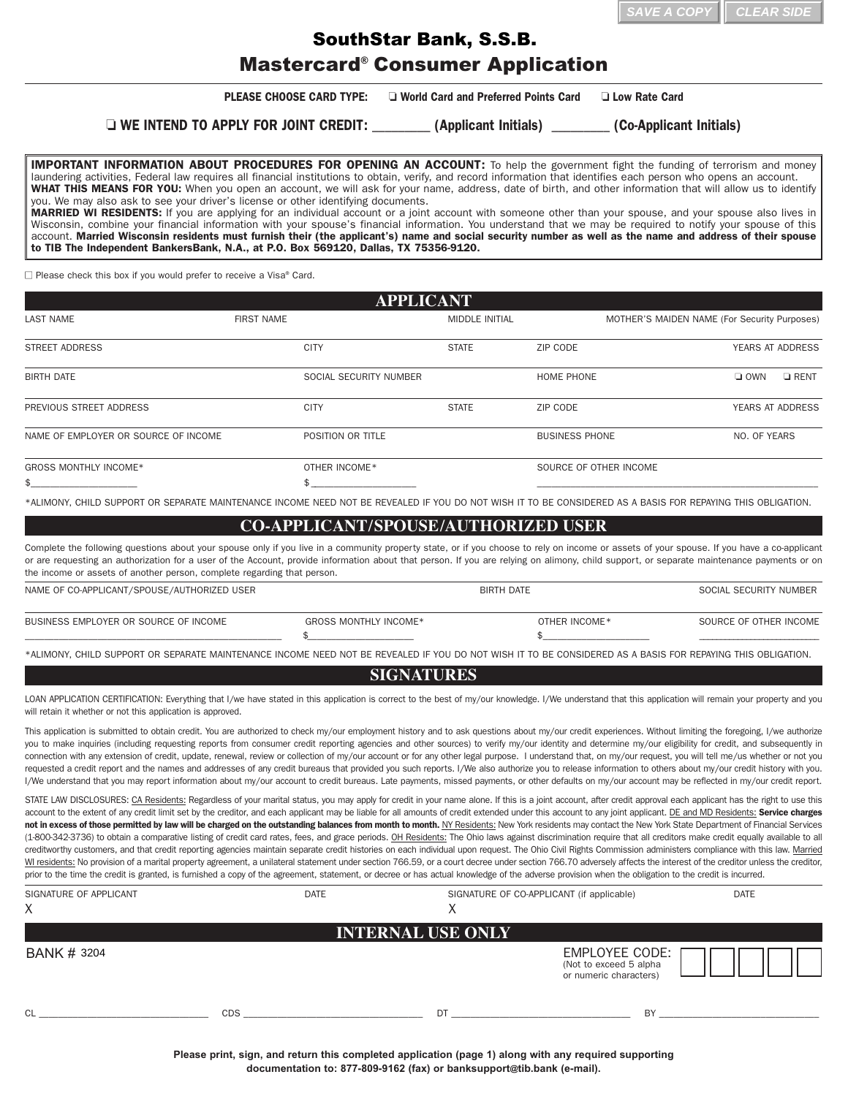| $\parallel$ SAVE A COPY $\parallel$ CLEAR SIDE |  |
|------------------------------------------------|--|
|                                                |  |

## Mastercard® Consumer Application SouthStar Bank, S.S.B.

|                                                                                                                                                                                                                                                                                                                                                                                                                                                                                                                                                                                                                                                                                                                                                                                                                                                                                                                                                                                                                                                                                                                                                                                                                                                                                                                                                                                                                                                                                                                         |                                                                                                        |                                        |                                           | <b>CLEAR SIDI</b><br>SAVE A COP              |
|-------------------------------------------------------------------------------------------------------------------------------------------------------------------------------------------------------------------------------------------------------------------------------------------------------------------------------------------------------------------------------------------------------------------------------------------------------------------------------------------------------------------------------------------------------------------------------------------------------------------------------------------------------------------------------------------------------------------------------------------------------------------------------------------------------------------------------------------------------------------------------------------------------------------------------------------------------------------------------------------------------------------------------------------------------------------------------------------------------------------------------------------------------------------------------------------------------------------------------------------------------------------------------------------------------------------------------------------------------------------------------------------------------------------------------------------------------------------------------------------------------------------------|--------------------------------------------------------------------------------------------------------|----------------------------------------|-------------------------------------------|----------------------------------------------|
|                                                                                                                                                                                                                                                                                                                                                                                                                                                                                                                                                                                                                                                                                                                                                                                                                                                                                                                                                                                                                                                                                                                                                                                                                                                                                                                                                                                                                                                                                                                         | <b>SouthStar Bank, S.S.B.</b>                                                                          |                                        |                                           |                                              |
|                                                                                                                                                                                                                                                                                                                                                                                                                                                                                                                                                                                                                                                                                                                                                                                                                                                                                                                                                                                                                                                                                                                                                                                                                                                                                                                                                                                                                                                                                                                         | <b>Mastercard<sup>®</sup> Consumer Application</b>                                                     |                                        |                                           |                                              |
|                                                                                                                                                                                                                                                                                                                                                                                                                                                                                                                                                                                                                                                                                                                                                                                                                                                                                                                                                                                                                                                                                                                                                                                                                                                                                                                                                                                                                                                                                                                         | <b>PLEASE CHOOSE CARD TYPE:</b>                                                                        | □ World Card and Preferred Points Card |                                           | <b>Low Rate Card</b>                         |
|                                                                                                                                                                                                                                                                                                                                                                                                                                                                                                                                                                                                                                                                                                                                                                                                                                                                                                                                                                                                                                                                                                                                                                                                                                                                                                                                                                                                                                                                                                                         | □ WE INTEND TO APPLY FOR JOINT CREDIT: _________ (Applicant Initials) ________ (Co-Applicant Initials) |                                        |                                           |                                              |
| <b>IMPORTANT INFORMATION ABOUT PROCEDURES FOR OPENING AN ACCOUNT:</b> To help the government fight the funding of terrorism and money<br>laundering activities, Federal law requires all financial institutions to obtain, verify, and record information that identifies each person who opens an account.<br>WHAT THIS MEANS FOR YOU: When you open an account, we will ask for your name, address, date of birth, and other information that will allow us to identify<br>you. We may also ask to see your driver's license or other identifying documents.<br>MARRIED WI RESIDENTS: If you are applying for an individual account or a joint account with someone other than your spouse, and your spouse also lives in<br>Wisconsin, combine your financial information with your spouse's financial information. You understand that we may be required to notify your spouse of this<br>account. Married Wisconsin residents must furnish their (the applicant's) name and social security number as well as the name and address of their spouse<br>to TIB The Independent BankersBank, N.A., at P.O. Box 569120, Dallas, TX 75356-9120.                                                                                                                                                                                                                                                                                                                                                                        |                                                                                                        |                                        |                                           |                                              |
| $\Box$ Please check this box if you would prefer to receive a Visa® Card.                                                                                                                                                                                                                                                                                                                                                                                                                                                                                                                                                                                                                                                                                                                                                                                                                                                                                                                                                                                                                                                                                                                                                                                                                                                                                                                                                                                                                                               |                                                                                                        |                                        |                                           |                                              |
|                                                                                                                                                                                                                                                                                                                                                                                                                                                                                                                                                                                                                                                                                                                                                                                                                                                                                                                                                                                                                                                                                                                                                                                                                                                                                                                                                                                                                                                                                                                         |                                                                                                        | <b>APPLICANT</b>                       |                                           |                                              |
| <b>LAST NAME</b>                                                                                                                                                                                                                                                                                                                                                                                                                                                                                                                                                                                                                                                                                                                                                                                                                                                                                                                                                                                                                                                                                                                                                                                                                                                                                                                                                                                                                                                                                                        | <b>FIRST NAME</b>                                                                                      | <b>MIDDLE INITIAL</b>                  |                                           | MOTHER'S MAIDEN NAME (For Security Purposes) |
| <b>STREET ADDRESS</b>                                                                                                                                                                                                                                                                                                                                                                                                                                                                                                                                                                                                                                                                                                                                                                                                                                                                                                                                                                                                                                                                                                                                                                                                                                                                                                                                                                                                                                                                                                   | <b>CITY</b>                                                                                            | <b>STATE</b>                           | ZIP CODE                                  | YEARS AT ADDRESS                             |
| <b>BIRTH DATE</b>                                                                                                                                                                                                                                                                                                                                                                                                                                                                                                                                                                                                                                                                                                                                                                                                                                                                                                                                                                                                                                                                                                                                                                                                                                                                                                                                                                                                                                                                                                       | SOCIAL SECURITY NUMBER                                                                                 |                                        | HOME PHONE                                | $\Box$ OWN<br>$\Box$ RENT                    |
| PREVIOUS STREET ADDRESS                                                                                                                                                                                                                                                                                                                                                                                                                                                                                                                                                                                                                                                                                                                                                                                                                                                                                                                                                                                                                                                                                                                                                                                                                                                                                                                                                                                                                                                                                                 | <b>CITY</b>                                                                                            | <b>STATE</b>                           | ZIP CODE                                  | YEARS AT ADDRESS                             |
| NAME OF EMPLOYER OR SOURCE OF INCOME                                                                                                                                                                                                                                                                                                                                                                                                                                                                                                                                                                                                                                                                                                                                                                                                                                                                                                                                                                                                                                                                                                                                                                                                                                                                                                                                                                                                                                                                                    | POSITION OR TITLE                                                                                      |                                        | <b>BUSINESS PHONE</b>                     | NO. OF YEARS                                 |
| GROSS MONTHLY INCOME*                                                                                                                                                                                                                                                                                                                                                                                                                                                                                                                                                                                                                                                                                                                                                                                                                                                                                                                                                                                                                                                                                                                                                                                                                                                                                                                                                                                                                                                                                                   | OTHER INCOME*                                                                                          |                                        | SOURCE OF OTHER INCOME                    |                                              |
| *ALIMONY, CHILD SUPPORT OR SEPARATE MAINTENANCE INCOME NEED NOT BE REVEALED IF YOU DO NOT WISH IT TO BE CONSIDERED AS A BASIS FOR REPAYING THIS OBLIGATION.                                                                                                                                                                                                                                                                                                                                                                                                                                                                                                                                                                                                                                                                                                                                                                                                                                                                                                                                                                                                                                                                                                                                                                                                                                                                                                                                                             |                                                                                                        |                                        |                                           |                                              |
|                                                                                                                                                                                                                                                                                                                                                                                                                                                                                                                                                                                                                                                                                                                                                                                                                                                                                                                                                                                                                                                                                                                                                                                                                                                                                                                                                                                                                                                                                                                         |                                                                                                        |                                        |                                           |                                              |
| Complete the following questions about your spouse only if you live in a community property state, or if you choose to rely on income or assets of your spouse. If you have a co-applicant<br>or are requesting an authorization for a user of the Account, provide information about that person. If you are relying on alimony, child support, or separate maintenance payments or on<br>the income or assets of another person, complete regarding that person.                                                                                                                                                                                                                                                                                                                                                                                                                                                                                                                                                                                                                                                                                                                                                                                                                                                                                                                                                                                                                                                      | <b>CO-APPLICANT/SPOUSE/AUTHORIZED USER</b>                                                             |                                        |                                           |                                              |
| NAME OF CO-APPLICANT/SPOUSE/AUTHORIZED USER                                                                                                                                                                                                                                                                                                                                                                                                                                                                                                                                                                                                                                                                                                                                                                                                                                                                                                                                                                                                                                                                                                                                                                                                                                                                                                                                                                                                                                                                             |                                                                                                        |                                        | <b>BIRTH DATE</b>                         | SOCIAL SECURITY NUMBER                       |
| BUSINESS EMPLOYER OR SOURCE OF INCOME                                                                                                                                                                                                                                                                                                                                                                                                                                                                                                                                                                                                                                                                                                                                                                                                                                                                                                                                                                                                                                                                                                                                                                                                                                                                                                                                                                                                                                                                                   | <b>GROSS MONTHLY INCOME*</b>                                                                           |                                        | OTHER INCOME*                             | SOURCE OF OTHER INCOME                       |
| *ALIMONY, CHILD SUPPORT OR SEPARATE MAINTENANCE INCOME NEED NOT BE REVEALED IF YOU DO NOT WISH IT TO BE CONSIDERED AS A BASIS FOR REPAYING THIS OBLIGATION.                                                                                                                                                                                                                                                                                                                                                                                                                                                                                                                                                                                                                                                                                                                                                                                                                                                                                                                                                                                                                                                                                                                                                                                                                                                                                                                                                             | \$                                                                                                     |                                        | £.                                        |                                              |
|                                                                                                                                                                                                                                                                                                                                                                                                                                                                                                                                                                                                                                                                                                                                                                                                                                                                                                                                                                                                                                                                                                                                                                                                                                                                                                                                                                                                                                                                                                                         |                                                                                                        | <b>SIGNATURES</b>                      |                                           |                                              |
| LOAN APPLICATION CERTIFICATION: Everything that I/we have stated in this application is correct to the best of my/our knowledge. I/We understand that this application will remain your property and you<br>will retain it whether or not this application is approved.                                                                                                                                                                                                                                                                                                                                                                                                                                                                                                                                                                                                                                                                                                                                                                                                                                                                                                                                                                                                                                                                                                                                                                                                                                                 |                                                                                                        |                                        |                                           |                                              |
| This application is submitted to obtain credit. You are authorized to check my/our employment history and to ask questions about my/our credit experiences. Without limiting the foregoing, I/we authorize<br>you to make inquiries (including requesting reports from consumer credit reporting agencies and other sources) to verify my/our identity and determine my/our eligibility for credit, and subsequently in<br>connection with any extension of credit, update, renewal, review or collection of my/our account or for any other legal purpose. I understand that, on my/our request, you will tell me/us whether or not you<br>requested a credit report and the names and addresses of any credit bureaus that provided you such reports. I/We also authorize you to release information to others about my/our credit history with you.<br>I/We understand that you may report information about my/our account to credit bureaus. Late payments, missed payments, or other defaults on my/our account may be reflected in my/our credit report.                                                                                                                                                                                                                                                                                                                                                                                                                                                         |                                                                                                        |                                        |                                           |                                              |
| STATE LAW DISCLOSURES: CA Residents: Regardless of your marital status, you may apply for credit in your name alone. If this is a joint account, after credit approval each applicant has the right to use this<br>account to the extent of any credit limit set by the creditor, and each applicant may be liable for all amounts of credit extended under this account to any joint applicant. DE and MD Residents: Service charges<br>not in excess of those permitted by law will be charged on the outstanding balances from month to month. NY Residents: New York residents may contact the New York State Department of Financial Services<br>(1-800-342-3736) to obtain a comparative listing of credit card rates, fees, and grace periods. OH Residents: The Ohio laws against discrimination require that all creditors make credit equally available to all<br>creditworthy customers, and that credit reporting agencies maintain separate credit histories on each individual upon request. The Ohio Civil Rights Commission administers compliance with this law. Married<br>WI residents: No provision of a marital property agreement, a unilateral statement under section 766.59, or a court decree under section 766.70 adversely affects the interest of the creditor unless the creditor,<br>prior to the time the credit is granted, is furnished a copy of the agreement, statement, or decree or has actual knowledge of the adverse provision when the obligation to the credit is incurred. |                                                                                                        |                                        |                                           |                                              |
| SIGNATURE OF APPLICANT<br>X                                                                                                                                                                                                                                                                                                                                                                                                                                                                                                                                                                                                                                                                                                                                                                                                                                                                                                                                                                                                                                                                                                                                                                                                                                                                                                                                                                                                                                                                                             | DATE                                                                                                   | X                                      | SIGNATURE OF CO-APPLICANT (if applicable) | <b>DATE</b>                                  |
|                                                                                                                                                                                                                                                                                                                                                                                                                                                                                                                                                                                                                                                                                                                                                                                                                                                                                                                                                                                                                                                                                                                                                                                                                                                                                                                                                                                                                                                                                                                         |                                                                                                        |                                        |                                           |                                              |
|                                                                                                                                                                                                                                                                                                                                                                                                                                                                                                                                                                                                                                                                                                                                                                                                                                                                                                                                                                                                                                                                                                                                                                                                                                                                                                                                                                                                                                                                                                                         |                                                                                                        | <b>INTERNAL USE ONLY</b>               |                                           |                                              |
| <b>BANK # 3204</b>                                                                                                                                                                                                                                                                                                                                                                                                                                                                                                                                                                                                                                                                                                                                                                                                                                                                                                                                                                                                                                                                                                                                                                                                                                                                                                                                                                                                                                                                                                      |                                                                                                        |                                        |                                           | EMPLOYEE CODE: $\Box$                        |

## **COAPPLICANT/SPOUSE/AUTHORIZED USER**

| NAME OF CO-APPLICANT/SPOUSE/AUTHORIZED USER |                       | <b>BIRTH DATE</b> |               | SOCIAL SECURITY NUMBER |
|---------------------------------------------|-----------------------|-------------------|---------------|------------------------|
| BUSINESS EMPLOYER OR SOURCE OF INCOME       | GROSS MONTHLY INCOME* |                   | OTHER INCOME* | SOURCE OF OTHER INCOME |
|                                             |                       |                   |               |                        |

## **SIGNATURES**

| SIGNATURE OF APPLICANT<br>X | <b>DATE</b> | SIGNATURE OF CO-APPLICANT (if applicable)<br>∧ | <b>DATE</b>                                                                |
|-----------------------------|-------------|------------------------------------------------|----------------------------------------------------------------------------|
|                             |             | <b>INTERNAL USE ONLY</b>                       |                                                                            |
| <b>BANK # 3204</b>          |             |                                                | <b>EMPLOYEE CODE:</b><br>(Not to exceed 5 alpha)<br>or numeric characters) |
| CL                          | <b>CDS</b>  | DT                                             | BY                                                                         |

**Please print, sign, and return this completed application (page 1) along with any required supporting documentation to: 8778099162 (fax) or [banksupport@](mailto:banksupport@tib.bank)tib.bank (email).**